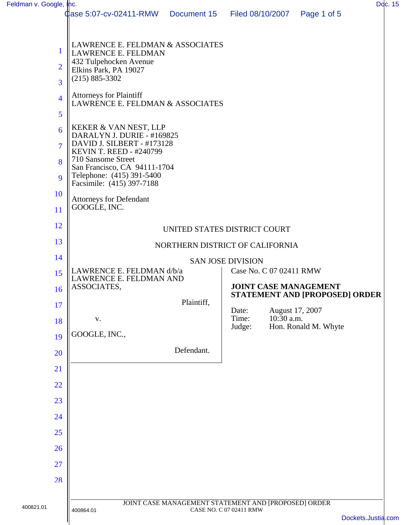| Feldman v. Google, Inc. |                                                                                              |             |                         |                 |                                                                       | Ddc. 15            |  |
|-------------------------|----------------------------------------------------------------------------------------------|-------------|-------------------------|-----------------|-----------------------------------------------------------------------|--------------------|--|
|                         | <b>0</b> ase 5:07-cv-02411-RMW                                                               | Document 15 | Filed 08/10/2007        |                 | Page 1 of 5                                                           |                    |  |
|                         |                                                                                              |             |                         |                 |                                                                       |                    |  |
| $\mathbf{1}$            | LAWRENCE E. FELDMAN & ASSOCIATES                                                             |             |                         |                 |                                                                       |                    |  |
|                         | LAWRENCE E. FELDMAN<br>432 Tulpehocken Avenue                                                |             |                         |                 |                                                                       |                    |  |
| $\overline{2}$          | Elkins Park, PA 19027<br>$(215) 885 - 3302$                                                  |             |                         |                 |                                                                       |                    |  |
| 3                       |                                                                                              |             |                         |                 |                                                                       |                    |  |
| $\overline{4}$          | <b>Attorneys for Plaintiff</b><br>LAWRENCE E. FELDMAN & ASSOCIATES                           |             |                         |                 |                                                                       |                    |  |
| 5                       |                                                                                              |             |                         |                 |                                                                       |                    |  |
| 6                       | KEKER & VAN NEST, LLP<br>DARALYN J. DURIE - #169825                                          |             |                         |                 |                                                                       |                    |  |
| $\overline{7}$          | DAVID J. SILBERT - #173128                                                                   |             |                         |                 |                                                                       |                    |  |
| 8                       | <b>KEVIN T. REED - #240799</b><br>710 Sansome Street                                         |             |                         |                 |                                                                       |                    |  |
| 9                       | San Francisco, CA 94111-1704<br>Telephone: (415) 391-5400<br>Facsimile: (415) 397-7188       |             |                         |                 |                                                                       |                    |  |
| 10                      | <b>Attorneys for Defendant</b>                                                               |             |                         |                 |                                                                       |                    |  |
| 11                      | GOOGLE, INC.                                                                                 |             |                         |                 |                                                                       |                    |  |
| 12                      | UNITED STATES DISTRICT COURT                                                                 |             |                         |                 |                                                                       |                    |  |
| 13                      | NORTHERN DISTRICT OF CALIFORNIA                                                              |             |                         |                 |                                                                       |                    |  |
| 14                      | <b>SAN JOSE DIVISION</b>                                                                     |             |                         |                 |                                                                       |                    |  |
| 15                      | LAWRENCE E. FELDMAN d/b/a<br>LAWRENCE E. FELDMAN AND                                         |             | Case No. C 07 02411 RMW |                 |                                                                       |                    |  |
| 16                      | ASSOCIATES,                                                                                  |             |                         |                 | <b>JOINT CASE MANAGEMENT</b><br><b>STATEMENT AND [PROPOSED] ORDER</b> |                    |  |
| 17                      |                                                                                              | Plaintiff,  | Date:                   | August 17, 2007 |                                                                       |                    |  |
| 18                      | ${\bf V}$ .                                                                                  |             | Time:                   | $10:30$ a.m.    | Hon. Ronald M. Whyte                                                  |                    |  |
| 19                      | GOOGLE, INC.,                                                                                |             | Judge:                  |                 |                                                                       |                    |  |
| 20                      |                                                                                              | Defendant.  |                         |                 |                                                                       |                    |  |
| 21                      |                                                                                              |             |                         |                 |                                                                       |                    |  |
| 22                      |                                                                                              |             |                         |                 |                                                                       |                    |  |
| 23                      |                                                                                              |             |                         |                 |                                                                       |                    |  |
| 24                      |                                                                                              |             |                         |                 |                                                                       |                    |  |
| 25                      |                                                                                              |             |                         |                 |                                                                       |                    |  |
| 26                      |                                                                                              |             |                         |                 |                                                                       |                    |  |
| 27                      |                                                                                              |             |                         |                 |                                                                       |                    |  |
| 28                      |                                                                                              |             |                         |                 |                                                                       |                    |  |
|                         |                                                                                              |             |                         |                 |                                                                       |                    |  |
| 400821.01               | JOINT CASE MANAGEMENT STATEMENT AND [PROPOSED] ORDER<br>CASE NO. C 07 02411 RMW<br>400864.01 |             |                         |                 |                                                                       |                    |  |
|                         |                                                                                              |             |                         |                 |                                                                       | Dockets.Justia.com |  |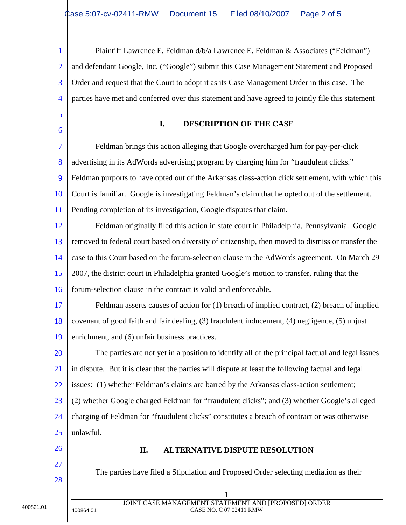1 2 3 4 5 6 7 8 9 10 11 Plaintiff Lawrence E. Feldman d/b/a Lawrence E. Feldman & Associates ("Feldman") and defendant Google, Inc. ("Google") submit this Case Management Statement and Proposed Order and request that the Court to adopt it as its Case Management Order in this case. The parties have met and conferred over this statement and have agreed to jointly file this statement **I. DESCRIPTION OF THE CASE**  Feldman brings this action alleging that Google overcharged him for pay-per-click advertising in its AdWords advertising program by charging him for "fraudulent clicks." Feldman purports to have opted out of the Arkansas class-action click settlement, with which this Court is familiar. Google is investigating Feldman's claim that he opted out of the settlement. Pending completion of its investigation, Google disputes that claim.

12 13 14 15 16 Feldman originally filed this action in state court in Philadelphia, Pennsylvania. Google removed to federal court based on diversity of citizenship, then moved to dismiss or transfer the case to this Court based on the forum-selection clause in the AdWords agreement. On March 29 2007, the district court in Philadelphia granted Google's motion to transfer, ruling that the forum-selection clause in the contract is valid and enforceable.

17 18 19 Feldman asserts causes of action for (1) breach of implied contract, (2) breach of implied covenant of good faith and fair dealing, (3) fraudulent inducement, (4) negligence, (5) unjust enrichment, and (6) unfair business practices.

20 21 22 23 24 25 The parties are not yet in a position to identify all of the principal factual and legal issues in dispute. But it is clear that the parties will dispute at least the following factual and legal issues: (1) whether Feldman's claims are barred by the Arkansas class-action settlement; (2) whether Google charged Feldman for "fraudulent clicks"; and (3) whether Google's alleged charging of Feldman for "fraudulent clicks" constitutes a breach of contract or was otherwise unlawful.

- 26
- 27  $28$

## **II. ALTERNATIVE DISPUTE RESOLUTION**

The parties have filed a Stipulation and Proposed Order selecting mediation as their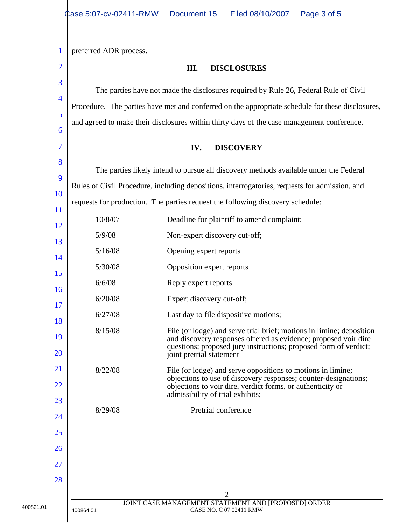1 2 3 4 5 6 7 8 9 10 11 12 13 14 15 16 17 18 19 20 21 22 23 24 25 26 27  $28$ 2 JOINT CASE MANAGEMENT STATEMENT AND [PROPOSED] ORDER 400821.01 400864.01 400864.01 400864.01 preferred ADR process. **III. DISCLOSURES**  The parties have not made the disclosures required by Rule 26, Federal Rule of Civil Procedure. The parties have met and conferred on the appropriate schedule for these disclosures, and agreed to make their disclosures within thirty days of the case management conference. **IV. DISCOVERY**  The parties likely intend to pursue all discovery methods available under the Federal Rules of Civil Procedure, including depositions, interrogatories, requests for admission, and requests for production. The parties request the following discovery schedule: 10/8/07 Deadline for plaintiff to amend complaint; 5/9/08 Non-expert discovery cut-off; 5/16/08 Opening expert reports 5/30/08 Opposition expert reports 6/6/08 Reply expert reports 6/20/08 Expert discovery cut-off; 6/27/08 Last day to file dispositive motions; 8/15/08 File (or lodge) and serve trial brief; motions in limine; deposition and discovery responses offered as evidence; proposed voir dire questions; proposed jury instructions; proposed form of verdict; joint pretrial statement 8/22/08 File (or lodge) and serve oppositions to motions in limine; objections to use of discovery responses; counter-designations; objections to voir dire, verdict forms, or authenticity or admissibility of trial exhibits; 8/29/08 Pretrial conference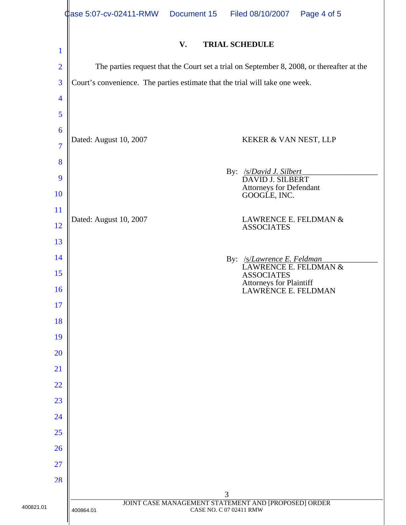